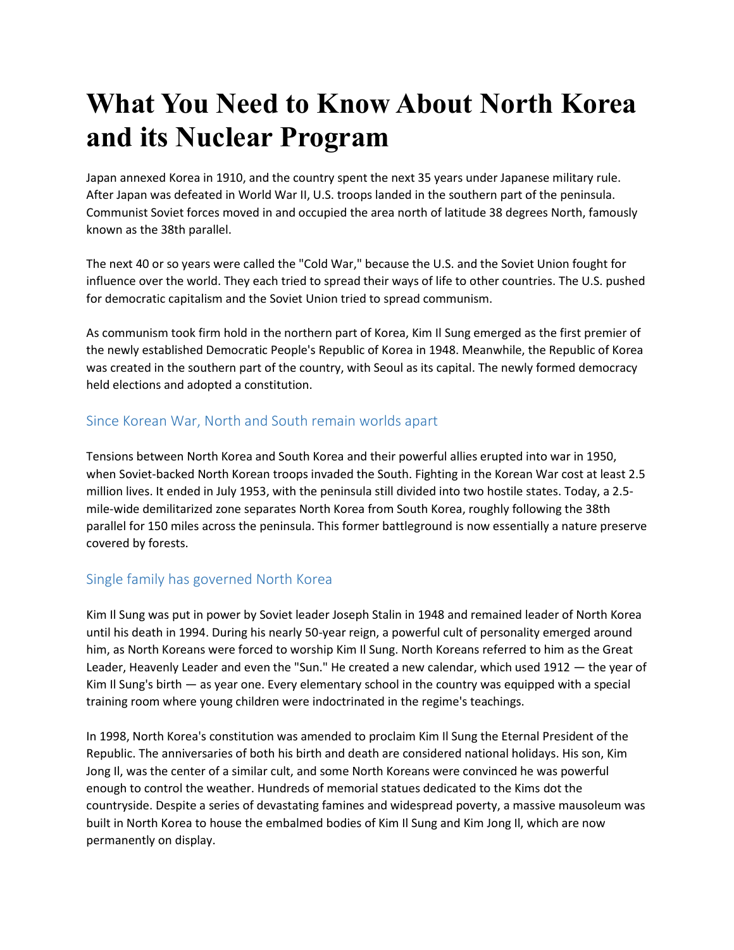# **What You Need to Know About North Korea and its Nuclear Program**

Japan annexed Korea in 1910, and the country spent the next 35 years under Japanese military rule. After Japan was defeated in World War II, U.S. troops landed in the southern part of the peninsula. Communist Soviet forces moved in and occupied the area north of latitude 38 degrees North, famously known as the 38th parallel.

The next 40 or so years were called the "Cold War," because the U.S. and the Soviet Union fought for influence over the world. They each tried to spread their ways of life to other countries. The U.S. pushed for democratic capitalism and the Soviet Union tried to spread communism.

As communism took firm hold in the northern part of Korea, Kim Il Sung emerged as the first premier of the newly established Democratic People's Republic of Korea in 1948. Meanwhile, the Republic of Korea was created in the southern part of the country, with Seoul as its capital. The newly formed democracy held elections and adopted a constitution.

### Since Korean War, North and South remain worlds apart

Tensions between North Korea and South Korea and their powerful allies erupted into war in 1950, when Soviet-backed North Korean troops invaded the South. Fighting in the Korean War cost at least 2.5 million lives. It ended in July 1953, with the peninsula still divided into two hostile states. Today, a 2.5 mile-wide demilitarized zone separates North Korea from South Korea, roughly following the 38th parallel for 150 miles across the peninsula. This former battleground is now essentially a nature preserve covered by forests.

# Single family has governed North Korea

Kim Il Sung was put in power by Soviet leader Joseph Stalin in 1948 and remained leader of North Korea until his death in 1994. During his nearly 50-year reign, a powerful cult of personality emerged around him, as North Koreans were forced to worship Kim Il Sung. North Koreans referred to him as the Great Leader, Heavenly Leader and even the "Sun." He created a new calendar, which used 1912 — the year of Kim Il Sung's birth — as year one. Every elementary school in the country was equipped with a special training room where young children were indoctrinated in the regime's teachings.

In 1998, North Korea's constitution was amended to proclaim Kim Il Sung the Eternal President of the Republic. The anniversaries of both his birth and death are considered national holidays. His son, Kim Jong Il, was the center of a similar cult, and some North Koreans were convinced he was powerful enough to control the weather. Hundreds of memorial statues dedicated to the Kims dot the countryside. Despite a series of devastating famines and widespread poverty, a massive mausoleum was built in North Korea to house the embalmed bodies of Kim Il Sung and Kim Jong Il, which are now permanently on display.